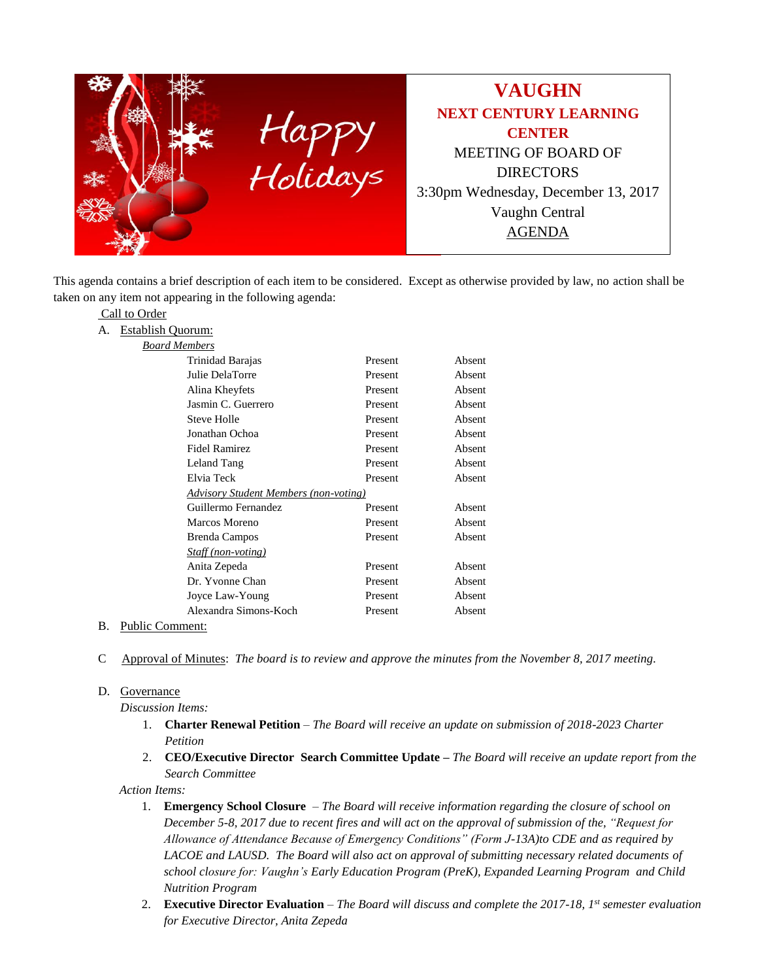

This agenda contains a brief description of each item to be considered. Except as otherwise provided by law, no action shall be taken on any item not appearing in the following agenda:

## Call to Order

A. Establish Quorum:

| Trinidad Barajas                             | Present | Absent |
|----------------------------------------------|---------|--------|
| Julie DelaTorre                              | Present | Absent |
| Alina Kheyfets                               | Present | Absent |
| Jasmin C. Guerrero                           | Present | Absent |
| Steve Holle                                  | Present | Absent |
| Jonathan Ochoa                               | Present | Absent |
| <b>Fidel Ramirez</b>                         | Present | Absent |
| Leland Tang                                  | Present | Absent |
| Elvia Teck                                   | Present | Absent |
| <b>Advisory Student Members (non-voting)</b> |         |        |
| Guillermo Fernandez                          | Present | Absent |
| Marcos Moreno                                | Present | Absent |
| Brenda Campos                                | Present | Absent |
| Staff (non-voting)                           |         |        |
| Anita Zepeda                                 | Present | Absent |
| Dr. Yvonne Chan                              | Present | Absent |
| Joyce Law-Young                              | Present | Absent |
| Alexandra Simons-Koch                        |         |        |
|                                              | Present | Absent |

### B. Public Comment:

C Approval of Minutes: *The board is to review and approve the minutes from the November 8, 2017 meeting.*

### D. Governance

*Discussion Items:*

- 1. **Charter Renewal Petition** *The Board will receive an update on submission of 2018-2023 Charter Petition*
- 2. **CEO/Executive Director Search Committee Update –** *The Board will receive an update report from the Search Committee*

*Action Items:*

- 1. **Emergency School Closure** *The Board will receive information regarding the closure of school on December 5-8, 2017 due to recent fires and will act on the approval of submission of the, "Request for Allowance of Attendance Because of Emergency Conditions" (Form J-13A)to CDE and as required by LACOE and LAUSD. The Board will also act on approval of submitting necessary related documents of school closure for: Vaughn's Early Education Program (PreK), Expanded Learning Program and Child Nutrition Program*
- 2. **Executive Director Evaluation** *The Board will discuss and complete the 2017-18, 1st semester evaluation for Executive Director, Anita Zepeda*